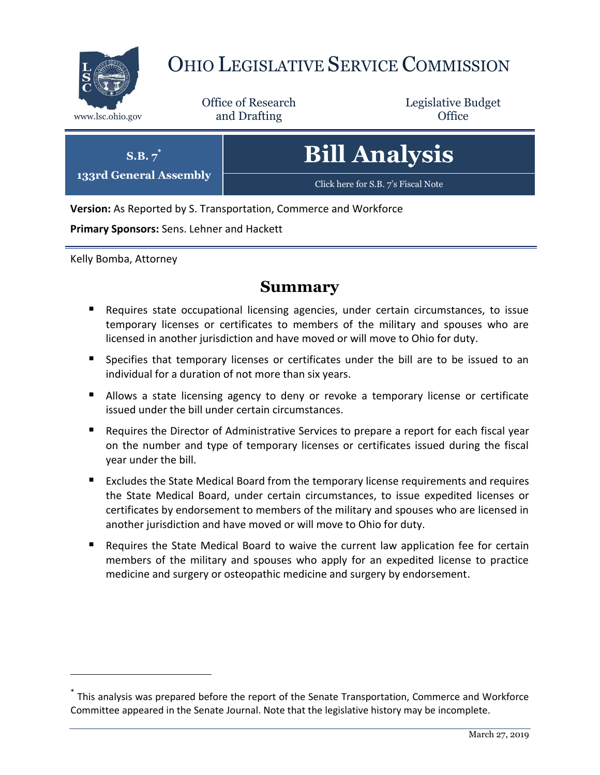

# OHIO LEGISLATIVE SERVICE COMMISSION

Office of Research www.lsc.ohio.gov and Drafting Control Control of Control Control Office

Legislative Budget

| $\mathbf{S}.\mathbf{B}.\mathbf{7}^{\prime}$ | <b>Bill Analysis</b>                |
|---------------------------------------------|-------------------------------------|
| 133rd General Assembly                      | Click here for S.B. 7's Fiscal Note |

**Version:** As Reported by S. Transportation, Commerce and Workforce

**Primary Sponsors:** Sens. Lehner and Hackett

Kelly Bomba, Attorney

 $\overline{a}$ 

# **Summary**

- Requires state occupational licensing agencies, under certain circumstances, to issue temporary licenses or certificates to members of the military and spouses who are licensed in another jurisdiction and have moved or will move to Ohio for duty.
- **Specifies that temporary licenses or certificates under the bill are to be issued to an** individual for a duration of not more than six years.
- Allows a state licensing agency to deny or revoke a temporary license or certificate issued under the bill under certain circumstances.
- Requires the Director of Administrative Services to prepare a report for each fiscal year on the number and type of temporary licenses or certificates issued during the fiscal year under the bill.
- **Excludes the State Medical Board from the temporary license requirements and requires** the State Medical Board, under certain circumstances, to issue expedited licenses or certificates by endorsement to members of the military and spouses who are licensed in another jurisdiction and have moved or will move to Ohio for duty.
- Requires the State Medical Board to waive the current law application fee for certain members of the military and spouses who apply for an expedited license to practice medicine and surgery or osteopathic medicine and surgery by endorsement.

<sup>\*</sup> This analysis was prepared before the report of the Senate Transportation, Commerce and Workforce Committee appeared in the Senate Journal. Note that the legislative history may be incomplete.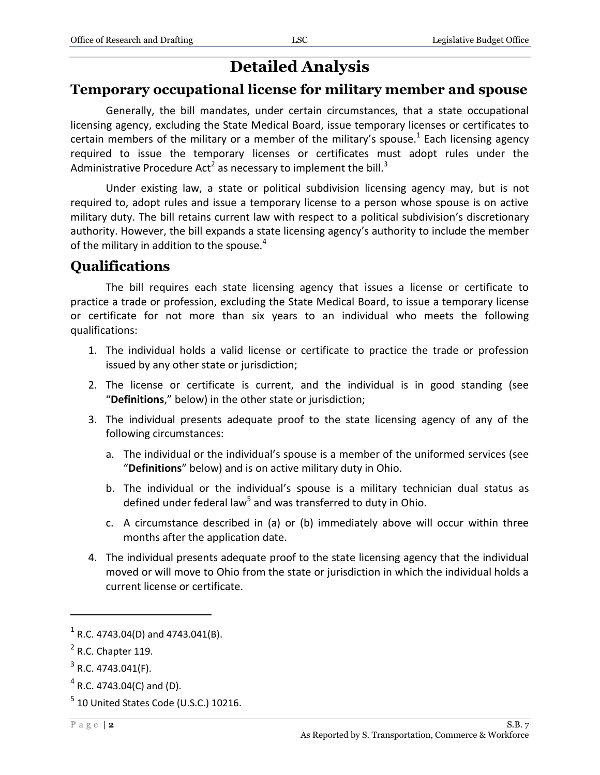# **Detailed Analysis**

## **Temporary occupational license for military member and spouse**

Generally, the bill mandates, under certain circumstances, that a state occupational licensing agency, excluding the State Medical Board, issue temporary licenses or certificates to certain members of the military or a member of the military's spouse.<sup>1</sup> Each licensing agency required to issue the temporary licenses or certificates must adopt rules under the Administrative Procedure Act<sup>2</sup> as necessary to implement the bill.<sup>3</sup>

Under existing law, a state or political subdivision licensing agency may, but is not required to, adopt rules and issue a temporary license to a person whose spouse is on active military duty. The bill retains current law with respect to a political subdivision's discretionary authority. However, the bill expands a state licensing agency's authority to include the member of the military in addition to the spouse. $4$ 

## **Qualifications**

The bill requires each state licensing agency that issues a license or certificate to practice a trade or profession, excluding the State Medical Board, to issue a temporary license or certificate for not more than six years to an individual who meets the following qualifications:

- 1. The individual holds a valid license or certificate to practice the trade or profession issued by any other state or jurisdiction;
- 2. The license or certificate is current, and the individual is in good standing (see "**Definitions**," below) in the other state or jurisdiction;
- 3. The individual presents adequate proof to the state licensing agency of any of the following circumstances:
	- a. The individual or the individual's spouse is a member of the uniformed services (see "**Definitions**" below) and is on active military duty in Ohio.
	- b. The individual or the individual's spouse is a military technician dual status as defined under federal law<sup>5</sup> and was transferred to duty in Ohio.
	- c. A circumstance described in (a) or (b) immediately above will occur within three months after the application date.
- 4. The individual presents adequate proof to the state licensing agency that the individual moved or will move to Ohio from the state or jurisdiction in which the individual holds a current license or certificate.

 $^4$  R.C. 4743.04(C) and (D).

 $1$  R.C. 4743.04(D) and 4743.041(B).

 $<sup>2</sup>$  R.C. Chapter 119.</sup>

 $3$  R.C. 4743.041(F).

 $<sup>5</sup>$  10 United States Code (U.S.C.) 10216.</sup>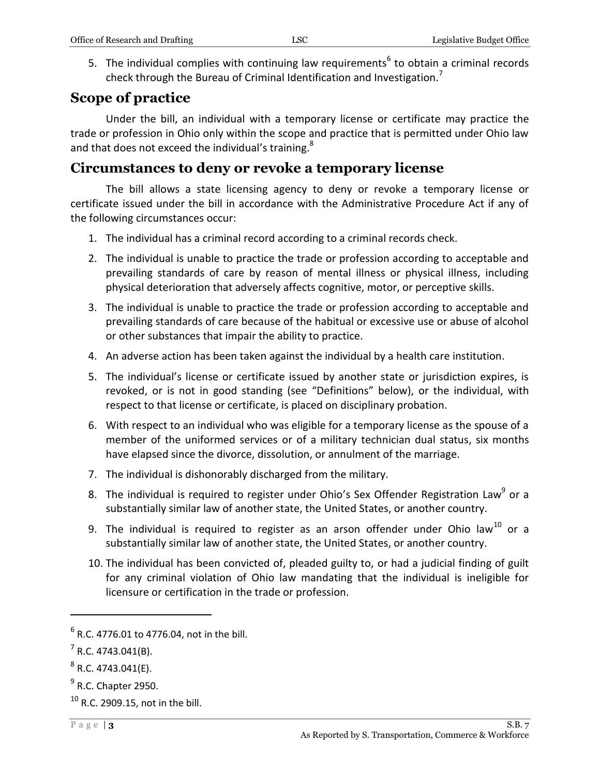5. The individual complies with continuing law requirements<sup>6</sup> to obtain a criminal records check through the Bureau of Criminal Identification and Investigation.<sup>7</sup>

# **Scope of practice**

Under the bill, an individual with a temporary license or certificate may practice the trade or profession in Ohio only within the scope and practice that is permitted under Ohio law and that does not exceed the individual's training.<sup>8</sup>

## **Circumstances to deny or revoke a temporary license**

The bill allows a state licensing agency to deny or revoke a temporary license or certificate issued under the bill in accordance with the Administrative Procedure Act if any of the following circumstances occur:

- 1. The individual has a criminal record according to a criminal records check.
- 2. The individual is unable to practice the trade or profession according to acceptable and prevailing standards of care by reason of mental illness or physical illness, including physical deterioration that adversely affects cognitive, motor, or perceptive skills.
- 3. The individual is unable to practice the trade or profession according to acceptable and prevailing standards of care because of the habitual or excessive use or abuse of alcohol or other substances that impair the ability to practice.
- 4. An adverse action has been taken against the individual by a health care institution.
- 5. The individual's license or certificate issued by another state or jurisdiction expires, is revoked, or is not in good standing (see "Definitions" below), or the individual, with respect to that license or certificate, is placed on disciplinary probation.
- 6. With respect to an individual who was eligible for a temporary license as the spouse of a member of the uniformed services or of a military technician dual status, six months have elapsed since the divorce, dissolution, or annulment of the marriage.
- 7. The individual is dishonorably discharged from the military.
- 8. The individual is required to register under Ohio's Sex Offender Registration Law<sup>9</sup> or a substantially similar law of another state, the United States, or another country.
- 9. The individual is required to register as an arson offender under Ohio law<sup>10</sup> or a substantially similar law of another state, the United States, or another country.
- 10. The individual has been convicted of, pleaded guilty to, or had a judicial finding of guilt for any criminal violation of Ohio law mandating that the individual is ineligible for licensure or certification in the trade or profession.

 $^6$  R.C. 4776.01 to 4776.04, not in the bill.

 $7$  R.C. 4743.041(B).

 $^8$  R.C. 4743.041(E).

 $<sup>9</sup>$  R.C. Chapter 2950.</sup>

 $10$  R.C. 2909.15, not in the bill.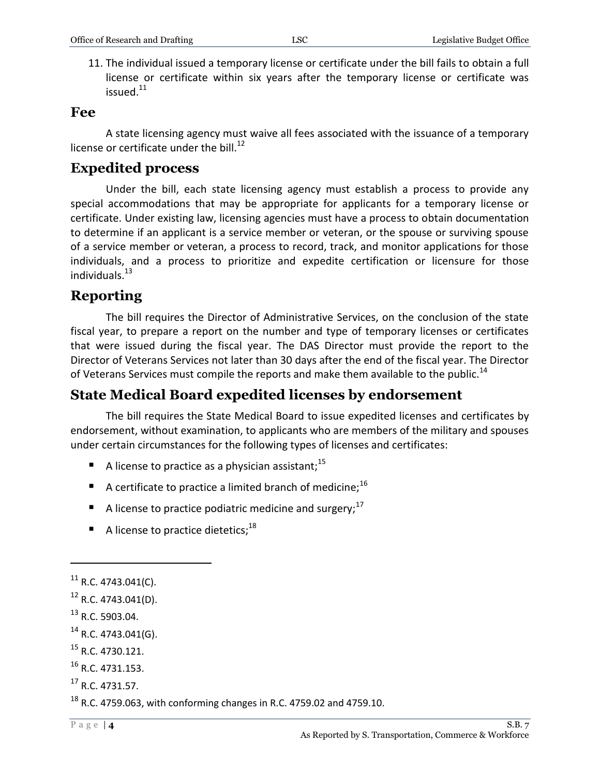11. The individual issued a temporary license or certificate under the bill fails to obtain a full license or certificate within six years after the temporary license or certificate was issued.<sup>11</sup>

#### **Fee**

A state licensing agency must waive all fees associated with the issuance of a temporary license or certificate under the bill.<sup>12</sup>

# **Expedited process**

Under the bill, each state licensing agency must establish a process to provide any special accommodations that may be appropriate for applicants for a temporary license or certificate. Under existing law, licensing agencies must have a process to obtain documentation to determine if an applicant is a service member or veteran, or the spouse or surviving spouse of a service member or veteran, a process to record, track, and monitor applications for those individuals, and a process to prioritize and expedite certification or licensure for those individuals.<sup>13</sup>

# **Reporting**

The bill requires the Director of Administrative Services, on the conclusion of the state fiscal year, to prepare a report on the number and type of temporary licenses or certificates that were issued during the fiscal year. The DAS Director must provide the report to the Director of Veterans Services not later than 30 days after the end of the fiscal year. The Director of Veterans Services must compile the reports and make them available to the public.<sup>14</sup>

# **State Medical Board expedited licenses by endorsement**

The bill requires the State Medical Board to issue expedited licenses and certificates by endorsement, without examination, to applicants who are members of the military and spouses under certain circumstances for the following types of licenses and certificates:

- A license to practice as a physician assistant;  $^{15}$
- A certificate to practice a limited branch of medicine;<sup>16</sup>
- A license to practice podiatric medicine and surgery;  $17$
- A license to practice dietetics;  $18$

 $^{11}$  R.C. 4743.041(C).

<sup>12</sup> R.C. 4743.041(D).

 $13$  R.C. 5903.04.

 $14$  R.C. 4743.041(G).

 $^{15}$  R.C. 4730.121.

 $16$  R.C. 4731.153.

<sup>17</sup> R.C. 4731.57.

 $18$  R.C. 4759.063, with conforming changes in R.C. 4759.02 and 4759.10.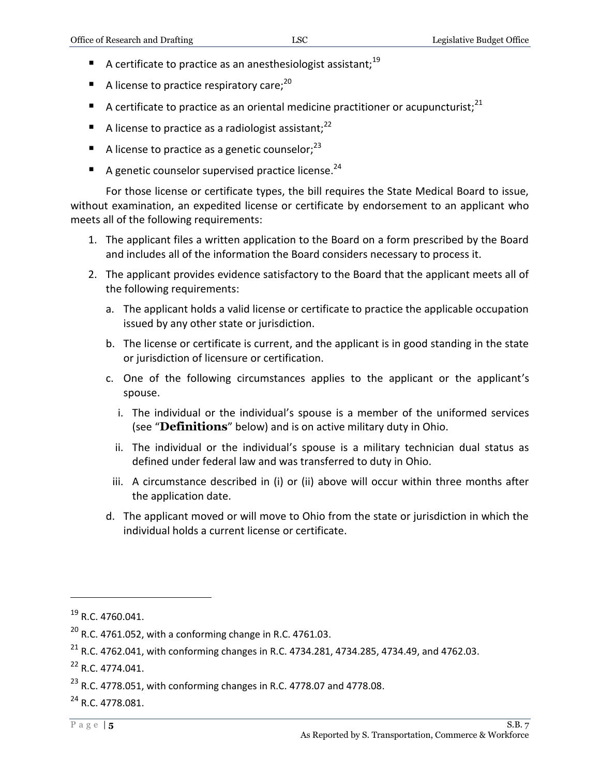- A certificate to practice as an anesthesiologist assistant:  $19$
- $\blacksquare$  A license to practice respiratory care;<sup>20</sup>
- A certificate to practice as an oriental medicine practitioner or acupuncturist;<sup>21</sup>
- A license to practice as a radiologist assistant;  $2^2$
- A license to practice as a genetic counselor;  $23$
- A genetic counselor supervised practice license.<sup>24</sup>

For those license or certificate types, the bill requires the State Medical Board to issue, without examination, an expedited license or certificate by endorsement to an applicant who meets all of the following requirements:

- 1. The applicant files a written application to the Board on a form prescribed by the Board and includes all of the information the Board considers necessary to process it.
- 2. The applicant provides evidence satisfactory to the Board that the applicant meets all of the following requirements:
	- a. The applicant holds a valid license or certificate to practice the applicable occupation issued by any other state or jurisdiction.
	- b. The license or certificate is current, and the applicant is in good standing in the state or jurisdiction of licensure or certification.
	- c. One of the following circumstances applies to the applicant or the applicant's spouse.
		- i. The individual or the individual's spouse is a member of the uniformed services (see "**Definitions**" below) and is on active military duty in Ohio.
		- ii. The individual or the individual's spouse is a military technician dual status as defined under federal law and was transferred to duty in Ohio.
		- iii. A circumstance described in (i) or (ii) above will occur within three months after the application date.
	- d. The applicant moved or will move to Ohio from the state or jurisdiction in which the individual holds a current license or certificate.

<sup>&</sup>lt;sup>19</sup> R.C. 4760.041.

 $^{20}$  R.C. 4761.052, with a conforming change in R.C. 4761.03.

 $^{21}$  R.C. 4762.041, with conforming changes in R.C. 4734.281, 4734.285, 4734.49, and 4762.03.

 $^{22}$  R.C. 4774.041.

 $^{23}$  R.C. 4778.051, with conforming changes in R.C. 4778.07 and 4778.08.

<sup>&</sup>lt;sup>24</sup> R.C. 4778.081.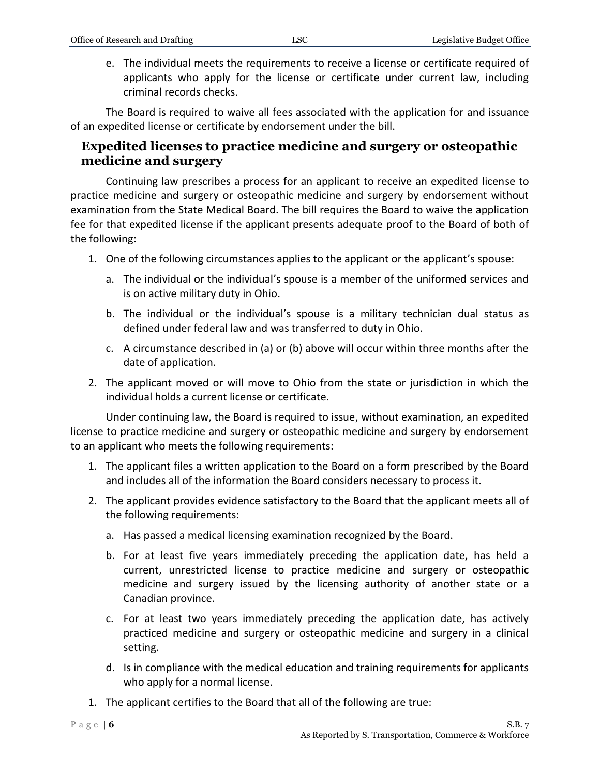e. The individual meets the requirements to receive a license or certificate required of applicants who apply for the license or certificate under current law, including criminal records checks.

The Board is required to waive all fees associated with the application for and issuance of an expedited license or certificate by endorsement under the bill.

#### **Expedited licenses to practice medicine and surgery or osteopathic medicine and surgery**

Continuing law prescribes a process for an applicant to receive an expedited license to practice medicine and surgery or osteopathic medicine and surgery by endorsement without examination from the State Medical Board. The bill requires the Board to waive the application fee for that expedited license if the applicant presents adequate proof to the Board of both of the following:

- 1. One of the following circumstances applies to the applicant or the applicant's spouse:
	- a. The individual or the individual's spouse is a member of the uniformed services and is on active military duty in Ohio.
	- b. The individual or the individual's spouse is a military technician dual status as defined under federal law and was transferred to duty in Ohio.
	- c. A circumstance described in (a) or (b) above will occur within three months after the date of application.
- 2. The applicant moved or will move to Ohio from the state or jurisdiction in which the individual holds a current license or certificate.

Under continuing law, the Board is required to issue, without examination, an expedited license to practice medicine and surgery or osteopathic medicine and surgery by endorsement to an applicant who meets the following requirements:

- 1. The applicant files a written application to the Board on a form prescribed by the Board and includes all of the information the Board considers necessary to process it.
- 2. The applicant provides evidence satisfactory to the Board that the applicant meets all of the following requirements:
	- a. Has passed a medical licensing examination recognized by the Board.
	- b. For at least five years immediately preceding the application date, has held a current, unrestricted license to practice medicine and surgery or osteopathic medicine and surgery issued by the licensing authority of another state or a Canadian province.
	- c. For at least two years immediately preceding the application date, has actively practiced medicine and surgery or osteopathic medicine and surgery in a clinical setting.
	- d. Is in compliance with the medical education and training requirements for applicants who apply for a normal license.
- 1. The applicant certifies to the Board that all of the following are true: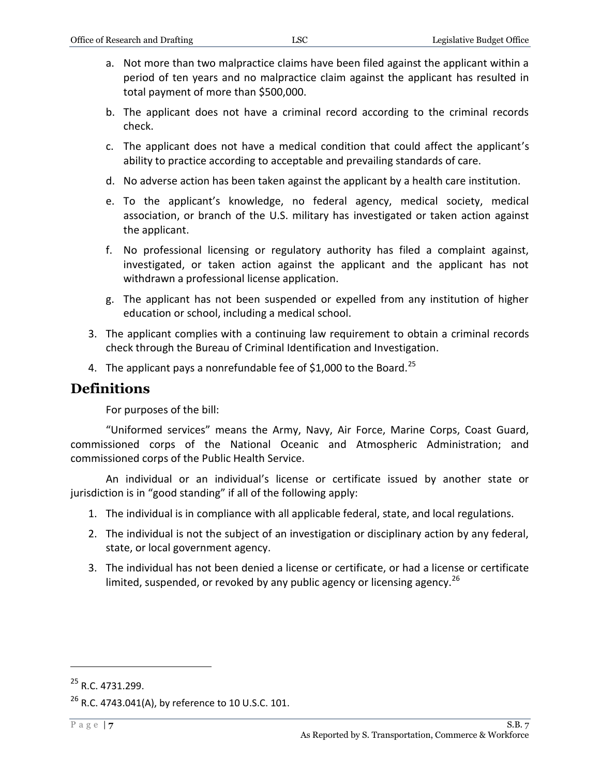- a. Not more than two malpractice claims have been filed against the applicant within a period of ten years and no malpractice claim against the applicant has resulted in total payment of more than \$500,000.
- b. The applicant does not have a criminal record according to the criminal records check.
- c. The applicant does not have a medical condition that could affect the applicant's ability to practice according to acceptable and prevailing standards of care.
- d. No adverse action has been taken against the applicant by a health care institution.
- e. To the applicant's knowledge, no federal agency, medical society, medical association, or branch of the U.S. military has investigated or taken action against the applicant.
- f. No professional licensing or regulatory authority has filed a complaint against, investigated, or taken action against the applicant and the applicant has not withdrawn a professional license application.
- g. The applicant has not been suspended or expelled from any institution of higher education or school, including a medical school.
- 3. The applicant complies with a continuing law requirement to obtain a criminal records check through the Bureau of Criminal Identification and Investigation.
- 4. The applicant pays a nonrefundable fee of \$1,000 to the Board.<sup>25</sup>

#### **Definitions**

For purposes of the bill:

"Uniformed services" means the Army, Navy, Air Force, Marine Corps, Coast Guard, commissioned corps of the National Oceanic and Atmospheric Administration; and commissioned corps of the Public Health Service.

An individual or an individual's license or certificate issued by another state or jurisdiction is in "good standing" if all of the following apply:

- 1. The individual is in compliance with all applicable federal, state, and local regulations.
- 2. The individual is not the subject of an investigation or disciplinary action by any federal, state, or local government agency.
- 3. The individual has not been denied a license or certificate, or had a license or certificate limited, suspended, or revoked by any public agency or licensing agency.  $^{26}$

<sup>&</sup>lt;sup>25</sup> R.C. 4731.299.

 $^{26}$  R.C. 4743.041(A), by reference to 10 U.S.C. 101.